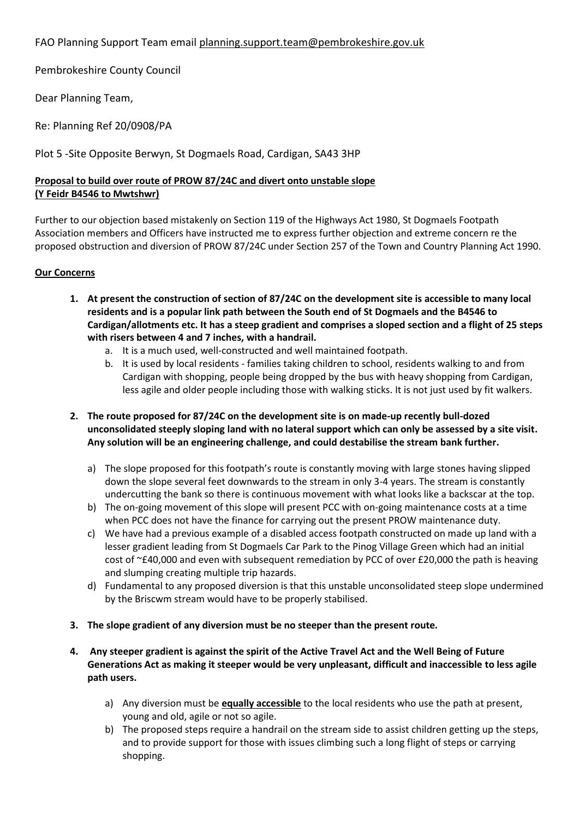## FAO Planning Support Team email [planning.support.team@pembrokeshire.gov.uk](mailto:planning.support.team@pembrokeshire.gov.uk)

Pembrokeshire County Council

Dear Planning Team,

Re: Planning Ref 20/0908/PA

Plot 5 -Site Opposite Berwyn, St Dogmaels Road, Cardigan, SA43 3HP

## **Proposal to build over route of PROW 87/24C and divert onto unstable slope (Y Feidr B4546 to Mwtshwr)**

Further to our objection based mistakenly on Section 119 of the Highways Act 1980, St Dogmaels Footpath Association members and Officers have instructed me to express further objection and extreme concern re the proposed obstruction and diversion of PROW 87/24C under Section 257 of the Town and Country Planning Act 1990.

## **Our Concerns**

- **1. At present the construction of section of 87/24C on the development site is accessible to many local residents and is a popular link path between the South end of St Dogmaels and the B4546 to Cardigan/allotments etc. It has a steep gradient and comprises a sloped section and a flight of 25 steps with risers between 4 and 7 inches, with a handrail.** 
	- a. It is a much used, well-constructed and well maintained footpath.
	- b. It is used by local residents families taking children to school, residents walking to and from Cardigan with shopping, people being dropped by the bus with heavy shopping from Cardigan, less agile and older people including those with walking sticks. It is not just used by fit walkers.
- **2. The route proposed for 87/24C on the development site is on made-up recently bull-dozed unconsolidated steeply sloping land with no lateral support which can only be assessed by a site visit. Any solution will be an engineering challenge, and could destabilise the stream bank further.**
	- a) The slope proposed for this footpath's route is constantly moving with large stones having slipped down the slope several feet downwards to the stream in only 3-4 years. The stream is constantly undercutting the bank so there is continuous movement with what looks like a backscar at the top.
	- b) The on-going movement of this slope will present PCC with on-going maintenance costs at a time when PCC does not have the finance for carrying out the present PROW maintenance duty.
	- c) We have had a previous example of a disabled access footpath constructed on made up land with a lesser gradient leading from St Dogmaels Car Park to the Pinog Village Green which had an initial cost of ~£40,000 and even with subsequent remediation by PCC of over £20,000 the path is heaving and slumping creating multiple trip hazards.
	- d) Fundamental to any proposed diversion is that this unstable unconsolidated steep slope undermined by the Briscwm stream would have to be properly stabilised.
- **3. The slope gradient of any diversion must be no steeper than the present route.**
- **4. Any steeper gradient is against the spirit of the Active Travel Act and the Well Being of Future Generations Act as making it steeper would be very unpleasant, difficult and inaccessible to less agile path users.**
	- a) Any diversion must be **equally accessible** to the local residents who use the path at present, young and old, agile or not so agile.
	- b) The proposed steps require a handrail on the stream side to assist children getting up the steps, and to provide support for those with issues climbing such a long flight of steps or carrying shopping.